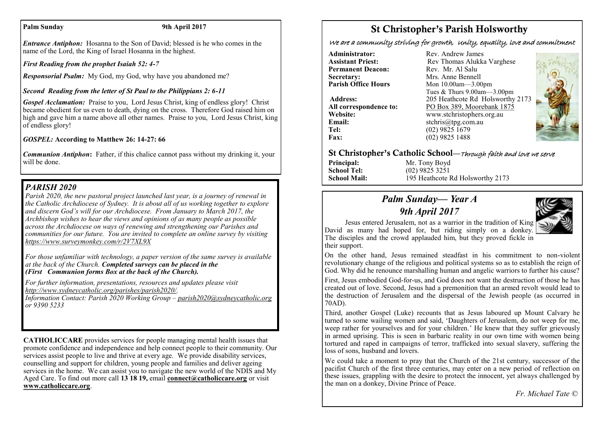#### Palm Sunday 9th April 2017

*Entrance Antiphon:* Hosanna to the Son of David; blessed is he who comes in the name of the Lord, the King of Israel Hosanna in the highest.

*First Reading from the prophet Isaiah 52: 4-7*

*Responsorial Psalm:* My God, my God, why have you abandoned me?

# *Second Reading from the letter of St Paul to the Philippians 2: 6-11*

*Gospel Acclamation:* Praise to you, Lord Jesus Christ, king of endless glory! Christ became obedient for us even to death, dying on the cross. Therefore God raised him on high and gave him a name above all other names. Praise to you, Lord Jesus Christ, king of endless glory!

## *GOSPEL:* **According to Matthew 26: 14-27: 66**

*Communion Antiphon*: Father, if this chalice cannot pass without my drinking it, your will be done.

# *PARISH 2020*

*Parish 2020, the new pastoral project launched last year, is a journey of renewal in the Catholic Archdiocese of Sydney. It is about all of us working together to explore and discern God's will for our Archdiocese. From January to March 2017, the Archbishop wishes to hear the views and opinions of as many people as possible across the Archdiocese on ways of renewing and strengthening our Parishes and communities for our future. You are invited to complete an online survey by visiting <https://www.surveymonkey.com/r/2V7XL9X>*

*For those unfamiliar with technology, a paper version of the same survey is available at the back of the Church. Completed surveys can be placed in the (First Communion forms Box at the back of the Church).*

*For further information, presentations, resources and updates please visit [http://www.sydneycatholic.org/parishes/parish2020/.](http://www.sydneycatholic.org/parishes/parish2020/)*

*Information Contact: Parish 2020 Working Group – [parish2020@sydneycatholic.org](mailto:parish2020@sydneycatholic.org) or 9390 5233*

**CATHOLICCARE** provides services for people managing mental health issues that promote confidence and independence and help connect people to their community. Our services assist people to live and thrive at every age. We provide disability services, counselling and support for children, young people and families and deliver ageing services in the home. We can assist you to navigate the new world of the NDIS and My Aged Care. To find out more call **13 18 19,** email **[connect@catholiccare.org](mailto:connect@catholiccare.org)** or visit **[www.catholiccare.org](http://www.catholiccare.org)**.

# St Christopher's Parish Holsworthy

We are a community striving for growth, Unity, equality, love and commitment

**Administrator:** Rev. Andrew James<br> **Assistant Priest:** Rev. Thomas Alukka **Permanent Deacon:**<br>Secretary: **Secretary:** Mrs. Anne Bennell<br> **Parish Office Hours** Mon 10.00am - 3.00

**Email:** stchris@tpg.com.au<br> **Tel:** (02) 9825 1679 **Tel:** (02) 9825 1679<br>**Fax:** (02) 9825 1488

**Rev Thomas Alukka Varghese**<br>Rev Mr Al Salu **Parish Office Hours** Mon 10.00am—3.00pm Tues & Thurs 9.00am—3.00pm **Address:** 205 Heathcote Rd Holsworthy 2173 **All correspondence to:** PO Box 389, Moorebank 1875 **Website:** www.stchristophers.org.au<br> **Email:** stchris@tng.com au **Fax:** (02) 9825 1488



# St Christopher's Catholic School—Through faith and love we serve

**Principal:** Mr. Tony Boyd<br> **School Tel:** (02) 9825 3251 **School Tel:** (02) 9825 3251<br>**School Mail:** 195 Heathcote I

195 Heathcote Rd Holsworthy 2173

# *Palm Sunday— Year A 9th April 2017*



Jesus entered Jerusalem, not as a warrior in the tradition of King David as many had hoped for, but riding simply on a donkey. The disciples and the crowd applauded him, but they proved fickle in their support.

On the other hand, Jesus remained steadfast in his commitment to non-violent revolutionary change of the religious and political systems so as to establish the reign of God. Why did he renounce marshalling human and angelic warriors to further his cause?

First, Jesus embodied God-for-us, and God does not want the destruction of those he has created out of love. Second, Jesus had a premonition that an armed revolt would lead to the destruction of Jerusalem and the dispersal of the Jewish people (as occurred in 70AD).

Third, another Gospel (Luke) recounts that as Jesus laboured up Mount Calvary he turned to some wailing women and said, 'Daughters of Jerusalem, do not weep for me, weep rather for yourselves and for your children.' He knew that they suffer grievously in armed uprising. This is seen in barbaric reality in our own time with women being tortured and raped in campaigns of terror, trafficked into sexual slavery, suffering the loss of sons, husband and lovers.

We could take a moment to pray that the Church of the 21st century, successor of the pacifist Church of the first three centuries, may enter on a new period of reflection on these issues, grappling with the desire to protect the innocent, yet always challenged by the man on a donkey, Divine Prince of Peace.

 *Fr. Michael Tate ©*